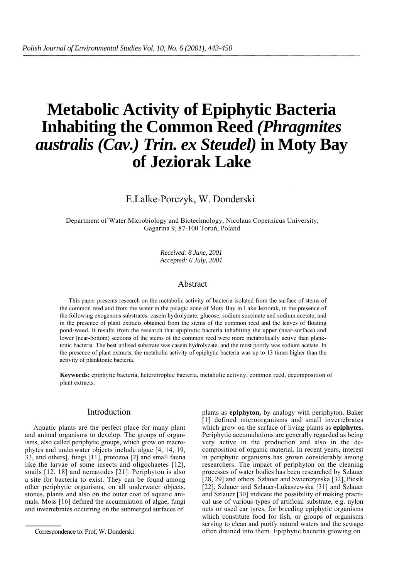# **Metabolic Activity of Epiphytic Bacteria Inhabiting the Common Reed** *(Phragmites australis (Cav.) Trin. ex Steudel)* **in Moty Bay of Jeziorak Lake**

# E.Lalke-Porczyk, W. Donderski

Department of Water Microbiology and Biotechnology, Nicolaus Copernicus University, Gagarina 9, 87-100 Toruń, Poland

> *Received: 8 June, 2001 Accepted: 6 July, 2001*

# Abstract

This paper presents research on the metabolic activity of bacteria isolated from the surface of stems of the common reed and from the water in the pelagic zone of Moty Bay in Lake Jeziorak, in the presence of the following exogenous substrates: casein hydrolyzate, glucose, sodium succinate and sodium acetate, and in the presence of plant extracts obtained from the stems of the common reed and the leaves of floating pond-weed. It results from the research that epiphytic bacteria inhabiting the upper (near-surface) and lower (near-bottom) sections of the stems of the common reed were more metabolically active than planktonic bacteria. The best utilised substrate was casein hydrolyzate, and the most poorly was sodium acetate. In the presence of plant extracts, the metabolic activity of epiphytic bacteria was up to 13 times higher than the activity of planktonic bacteria.

**Keywords:** epiphytic bacteria, heterotrophic bacteria, metabolic activity, common reed, decomposition of plant extracts.

# Introduction

Aquatic plants are the perfect place for many plant and animal organisms to develop. The groups of organisms, also called periphytic groups, which grow on macrophytes and underwater objects include algae [4, 14, 19, 33, and others], fungi [11], protozoa [2] and small fauna like the larvae of some insects and oligochaetes [12], snails [12, 18] and nematodes [21]. Periphyton is also a site for bacteria to exist. They can be found among other periphytic organisms, on all underwater objects, stones, plants and also on the outer coat of aquatic animals. Moss [16] defined the accumulation of algae, fungi and invertebrates occurring on the submerged surfaces of

plants as **epiphyton,** by analogy with periphyton. Baker [1] defined microorganisms and small invertebrates which grow on the surface of living plants as **epiphytes.**  Periphytic accumulations are generally regarded as being very active in the production and also in the decomposition of organic material. In recent years, interest in periphytic organisms has grown considerably among researchers. The impact of periphyton on the cleaning processes of water bodies has been researched by Szlauer [28, 29] and others. Szlauer and Swierczynska [32], Piesik [22], Szlauer and Szlauer-Lukaszewska [31] and Szlauer and Szlauer [30] indicate the possibility of making practical use of various types of artificial substrate, e.g. nylon nets or used car tyres, for breeding epiphytic organisms which constitute food for fish, or groups of organisms serving to clean and purify natural waters and the sewage often drained into them. Epiphytic bacteria growing on

Correspondence to: Prof. W. Donderski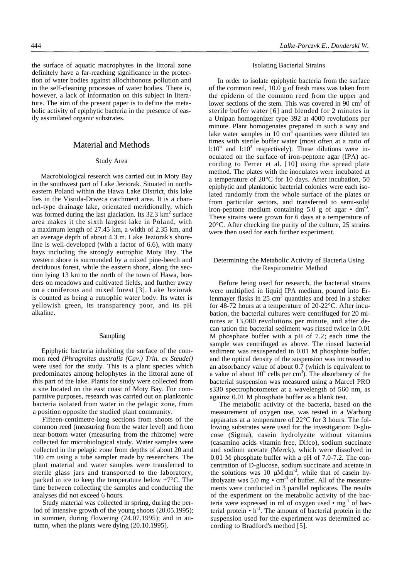the surface of aquatic macrophytes in the littoral zone definitely have a far-reaching significance in the protection of water bodies against allochthonous pollution and in the self-cleaning processes of water bodies. There is, however, a lack of information on this subject in literature. The aim of the present paper is to define the metabolic activity of epiphytic bacteria in the presence of easily assimilated organic substrates.

### Material and Methods

#### Study Area

Macrobiological research was carried out in Moty Bay in the southwest part of Lake Jeziorak. Situated in northeastern Poland within the Hawa Lake District, this lake lies in the Vistula-Drweca catchment area. It is a channel-type drainage lake, orientated meridionally, which was formed during the last glaciation. Its  $32.3 \text{ km}^2$  surface area makes it the sixth largest lake in Poland, with a maximum length of 27.45 km, a width of 2.35 km, and an average depth of about 4.3 m. Lake Jeziorak's shoreline is well-developed (with a factor of 6.6), with many bays including the strongly eutrophic Moty Bay. The western shore is surrounded by a mixed pine-beech and deciduous forest, while the eastern shore, along the section lying 13 km to the north of the town of Hawa, borders on meadows and cultivated fields, and further away on a coniferous and mixed forest [3]. Lake Jeziorak is counted as being a eutrophic water body. Its water is yellowish green, its transparency poor, and its pH alkaline.

#### Sampling

Epiphytic bacteria inhabiting the surface of the common reed *(Phragmites australis (Cav.) Trin. ex Steudel)*  were used for the study. This is a plant species which predominates among helophytes in the littoral zone of this part of the lake. Plants for study were collected from a site located on the east coast of Moty Bay. For comparative purposes, research was carried out on planktonic bacteria isolated from water in the pelagic zone, from a position opposite the studied plant community.

Fifteen-centimetre-long sections from shoots of the common reed (measuring from the water level) and from near-bottom water (measuring from the rhizome) were collected for microbiological study. Water samples were collected in the pelagic zone from depths of about 20 and 100 cm using a tube sampler made by researchers. The plant material and water samples were transferred to sterile glass jars and transported to the laboratory, packed in ice to keep the temperature below  $+7^{\circ}$ C. The time between collecting the samples and conducting the analyses did not exceed 6 hours.

Study material was collected in spring, during the period of intensive growth of the young shoots (20.05.1995); in summer, during flowering (24.07.1995); and in autumn, when the plants were dying (20.10.1995).

#### Isolating Bacterial Strains

In order to isolate epiphytic bacteria from the surface of the common reed, 10.0 g of fresh mass was taken from the epiderm of the common reed from the upper and lower sections of the stem. This was covered in  $90 \text{ cm}^3$  of sterile buffer water [6] and blended for 2 minutes in a Unipan homogenizer type 392 at 4000 revolutions per minute. Plant homogenates prepared in such a way and lake water samples in  $10 \text{ cm}^3$  quantities were diluted ten times with sterile buffer water (most often at a ratio of  $1:10^6$  and  $1:10^3$  respectively). These dilutions were inoculated on the surface of iron-peptone agar (IPA) according to Ferrer et al. [10] using the spread plate method. The plates with the inoculates were incubated at a temperature of 20°C for 10 days. After incubation, 50 epiphytic and planktonic bacterial colonies were each isolated randomly from the whole surface of the plates or from particular sectors, and transferred to semi-solid iron-peptone medium containing 5.0 g of agar  $\cdot$  dm<sup>-3</sup>. These strains were grown for 6 days at a temperature of 20°C. After checking the purity of the culture, 25 strains were then used for each further experiment.

#### Determining the Metabolic Activity of Bacteria Using the Respirometric Method

Before being used for research, the bacterial strains were multiplied in liquid IPA medium, poured into Erlenmayer flasks in  $25 \text{ cm}^3$  quantities and bred in a shaker for 48-72 hours at a temperature of 20-22°C. After incubation, the bacterial cultures were centrifuged for 20 minutes at 13,000 revolutions per minute, and after decan tation the bacterial sediment was rinsed twice in 0.01 M phosphate buffer with a pH of 7.2; each time the sample was centrifuged as above. The rinsed bacterial sediment was resuspended in 0.01 M phosphate buffer, and the optical density of the suspension was increased to an absorbancy value of about 0.7 (which is equivalent to a value of about  $10^9$  cells per cm<sup>3</sup>). The absorbancy of the bacterial suspension was measured using a Marcel PRO s330 spectrophotometer at a wavelength of 560 nm, as against 0.01 M phosphate buffer as a blank test.

The metabolic activity of the bacteria, based on the measurement of oxygen use, was tested in a Warburg apparatus at a temperature of 22°C for 3 hours. The following substrates were used for the investigation: D-glucose (Sigma), casein hydrolyzate without vitamins (casamino acids vitamin free, Difco), sodium succinate and sodium acetate (Merck), which were dissolved in 0.01 M phosphate buffer with a pH of 7.0-7.2. The concentration of D-glucose, sodium succinate and acetate in the solutions was 10  $\mu$ M.dm<sup>-3</sup>, while that of casein hydrolyzate was  $5.0 \text{ mg} \cdot \text{cm}^{-3}$  of buffer. All of the measurements were conducted in 3 parallel replicates. The results of the experiment on the metabolic activity of the bacteria were expressed in ml of oxygen used  $\bullet$  mg<sup>-1</sup> of bacterial protein  $\cdot$  h<sup>-1</sup>. The amount of bacterial protein in the suspension used for the experiment was determined according to Bradford's method [5].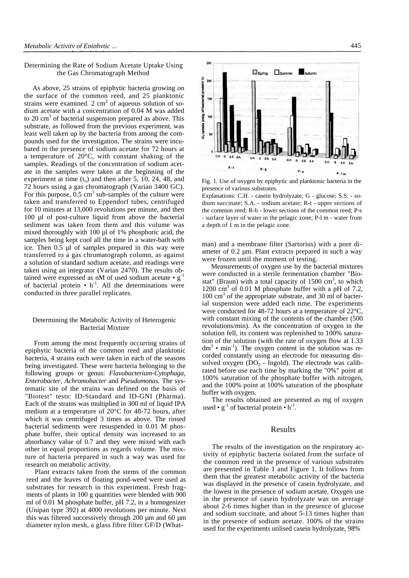#### Determining the Rate of Sodium Acetate Uptake Using the Gas Chromatograph Method

As above, 25 strains of epiphytic bacteria growing on the surface of the common reed, and 25 planktonic strains were examined.  $2 \text{ cm}^3$  of aqueous solution of sodium acetate with a concentration of 0.04 M was added to 20  $\text{cm}^3$  of bacterial suspension prepared as above. This substrate, as followed from the previous experiment, was least well taken up by the bacteria from among the compounds used for the investigation. The strains were incubated in the presence of sodium acetate for 72 hours at a temperature of 20°C, with constant shaking of the samples. Readings of the concentration of sodium acetate in the samples were taken at the beginning of the experiment at time  $(t_0)$  and then after 5, 10, 24, 48, and 72 hours using a gas chromatograph (Varian 3400 GC). For this purpose,  $0.5 \text{ cm}^3$  sub-samples of the culture were taken and transferred to Eppendorf tubes, centrifuged for 10 minutes at 13,000 revolutions per minute, and then 100 µl of post-culture liquid from above the bacterial sediment was taken from them and this volume was mixed thoroughly with 100 µl of 1% phosphoric acid, the samples being kept cool all the time in a water-bath with ice. Then 0.5 µl of samples prepared in this way were transferred to a gas chromatograph column, as against a solution of standard sodium acetate, and readings were taken using an integrator (Varian 2470). The results obtained were expressed as nM of used sodium acetate  $\cdot$  g<sup>-1</sup> of bacterial protein  $\cdot$  h<sup>-1</sup>. All the determinations were conducted in three parallel replicates.

#### Determining the Metabolic Activity of Heterogenic Bacterial Mixture

From among the most frequently occurring strains of epiphytic bacteria of the common reed and planktonic bacteria, 4 strains each were taken in each of the seasons being investigated. These were bacteria belonging to the following groups or genus: *Flavobacterium-Cytophaga, Enterobacter, Achromobacter* and *Pseudomonas.* The systematic site of the strains was defined on the basis of "Biotest" tests: ID-Standard and ID-GNI (Pharma). Each of the strains was multiplied in 300 ml of liquid IPA medium at a temperature of 20°C for 48-72 hours, after which it was centrifuged 3 times as above. The rinsed bacterial sediments were resuspended in 0.01 M phosphate buffer, their optical density was increased to an absorbancy value of 0.7 and they were mixed with each other in equal proportions as regards volume. The mixture of bacteria prepared in such a way was used for research on metabolic activity.

Plant extracts taken from the stems of the common reed and the leaves of floating pond-weed were used as substrates for research in this experiment. Fresh fragments of plants in 100 g quantities were blended with 900 ml of 0.01 M phosphate buffer, pH 7.2, in a homogenizer (Unipan type 392) at 4000 revolutions per minute. Next this was filtered successively through 200 µm and 60 µm diameter nylon mesh, a glass fibre filter GF/D (What-



Fig. 1. Use of oxygen by epiphytic and planktonic bacteria in the presence of various substrates.

Explanations: C.H. - casein hydrolyzate; G - glucose; S.S. - sodium succinate; S.A. - sodium acetate; R-t - upper sections of the common reed; R-b - lower sections of the common reed; P-s - surface layer of water in the pelagic zone; P-l m - water from a depth of 1 m in the pelagic zone.

man) and a membrane filter (Sartorius) with a pore diameter of 0.2  $\mu$ m. Plant extracts prepared in such a way were frozen until the moment of testing.

Measurements of oxygen use by the bacterial mixtures were conducted in a sterile fermentation chamber "Biostat" (Braun) with a total capacity of  $1500 \text{ cm}^3$ , to which 1200 cm<sup>3</sup> of 0.01 M phosphate buffer with a pH of 7.2, 100 cm<sup>3</sup> of the appropriate substrate, and 30 ml of bacterial suspension were added each time. The experiments were conducted for 48-72 hours at a temperature of 22°C, with constant mixing of the contents of the chamber (500 revolutions/min). As the concentration of oxygen in the solution fell, its content was replenished to 100% saturation of the solution (with the rate of oxygen flow at 1.33  $dm<sup>3</sup>$  • min<sup>-1</sup>). The oxygen content in the solution was recorded constantly using an electrode for measuring dissolved oxygen ( $DO<sub>2</sub>$  - Ingold). The electrode was calibrated before use each time by marking the "0%" point at 100% saturation of the phosphate buffer with nitrogen, and the 100% point at 100% saturation of the phosphate buffer with oxygen.

The results obtained are presented as mg of oxygen used •  $g^{-1}$  of bacterial protein •  $h^{-1}$ .

#### Results

The results of the investigation on the respiratory activity of epiphytic bacteria isolated from the surface of the common reed in the presence of various substrates are presented in Table 1 and Figure 1. It follows from them that the greatest metabolic activity of the bacteria was displayed in the presence of casein hydrolyzate, and the lowest in the presence of sodium acetate. Oxygen use in the presence of casein hydrolyzate was on average about 2-6 times higher than in the presence of glucose and sodium succinate, and about 5-13 times higher than in the presence of sodium acetate. 100% of the strains used for the experiments utilised casein hydrolyzate, 98%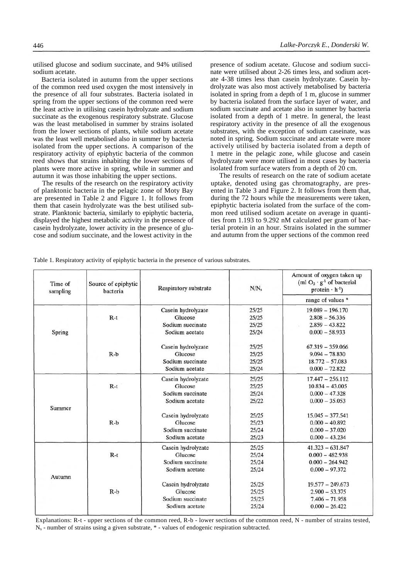utilised glucose and sodium succinate, and 94% utilised sodium acetate.

Bacteria isolated in autumn from the upper sections of the common reed used oxygen the most intensively in the presence of all four substrates. Bacteria isolated in spring from the upper sections of the common reed were the least active in utilising casein hydrolyzate and sodium succinate as the exogenous respiratory substrate. Glucose was the least metabolised in summer by strains isolated from the lower sections of plants, while sodium acetate was the least well metabolised also in summer by bacteria isolated from the upper sections. A comparison of the respiratory activity of epiphytic bacteria of the common reed shows that strains inhabiting the lower sections of plants were more active in spring, while in summer and autumn it was those inhabiting the upper sections.

The results of the research on the respiratory activity of planktonic bacteria in the pelagic zone of Moty Bay are presented in Table 2 and Figure 1. It follows from them that casein hydrolyzate was the best utilised substrate. Planktonic bacteria, similarly to epiphytic bacteria, displayed the highest metabolic activity in the presence of casein hydrolyzate, lower activity in the presence of glucose and sodium succinate, and the lowest activity in the

presence of sodium acetate. Glucose and sodium succinate were utilised about 2-26 times less, and sodium acetate 4-38 times less than casein hydrolyzate. Casein hydrolyzate was also most actively metabolised by bacteria isolated in spring from a depth of 1 m, glucose in summer by bacteria isolated from the surface layer of water, and sodium succinate and acetate also in summer by bacteria isolated from a depth of 1 metre. In general, the least respiratory activity in the presence of all the exogenous substrates, with the exception of sodium caseinate, was noted in spring. Sodium succinate and acetate were more actively utilised by bacteria isolated from a depth of 1 metre in the pelagic zone, while glucose and casein hydrolyzate were more utilised in most cases by bacteria isolated from surface waters from a depth of 20 cm.

The results of research on the rate of sodium acetate uptake, denoted using gas chromatography, are presented in Table 3 and Figure 2. It follows from them that, during the 72 hours while the measurements were taken, epiphytic bacteria isolated from the surface of the common reed utilised sodium acetate on average in quantities from 1.193 to 9.292 nM calculated per gram of bacterial protein in an hour. Strains isolated in the summer and autumn from the upper sections of the common reed

| Time of<br>sampling | Source of epiphytic<br>bacteria | Respiratory substrate<br>$N/N_s$ |                                                                               | Amount of oxygen taken up<br>(ml $O_2 \cdot g^{-1}$ of bacterial<br>protein $\cdot$ h <sup>-1</sup> ) |  |
|---------------------|---------------------------------|----------------------------------|-------------------------------------------------------------------------------|-------------------------------------------------------------------------------------------------------|--|
|                     |                                 |                                  |                                                                               | range of values *                                                                                     |  |
|                     |                                 | Casein hydrolyzate               | 25/25                                                                         | $19.089 - 196.170$                                                                                    |  |
|                     | $R-t$                           | Glucose                          | 25/25                                                                         | $2.808 - 56.336$                                                                                      |  |
|                     |                                 | Sodium succinate                 | 25/25                                                                         | $2.859 - 43.822$                                                                                      |  |
| Spring              |                                 | Sodium acetate                   | 25/24                                                                         | $0.000 - 58.933$                                                                                      |  |
|                     |                                 | Casein hydrolyzate               | 25/25                                                                         | $67.319 - 359.066$                                                                                    |  |
|                     | $R-b$                           | Glucose                          | 25/25                                                                         | $9.094 - 78.830$                                                                                      |  |
|                     |                                 | Sodium succinate                 | 25/25                                                                         | $18.772 - 57.083$                                                                                     |  |
|                     |                                 | Sodium acetate                   | 25/24                                                                         | $0.000 - 72.822$                                                                                      |  |
|                     |                                 | Casein hydrolyzate               | 25/25                                                                         | $17.447 - 256.112$                                                                                    |  |
|                     | $R-t$                           | Glucose                          | 25/25                                                                         | $10.834 - 43.005$                                                                                     |  |
|                     |                                 | Sodium succinate                 | 25/24                                                                         | $0.000 - 47.328$                                                                                      |  |
| Summer              |                                 | Sodium acetate                   | 25/22                                                                         | $0.000 - 35.053$                                                                                      |  |
|                     |                                 | Casein hydrolyzate               | 25/25                                                                         | $15.045 - 377.541$                                                                                    |  |
|                     | $R-b$                           | Glucose                          | 25/23                                                                         | $0.000 - 40.892$                                                                                      |  |
|                     |                                 | Sodium succinate                 | 25/24                                                                         | $0.000 - 37.020$                                                                                      |  |
|                     |                                 | Sodium acetate                   | 25/23<br>25/25<br>25/24<br>25/24<br>25/24<br>25/25<br>25/25<br>25/25<br>25/24 | $0.000 - 43.234$                                                                                      |  |
|                     |                                 | Casein hydrolyzate               |                                                                               | $41.323 - 631.847$                                                                                    |  |
|                     | $R-t$                           | Glucose                          |                                                                               | $0.000 - 482.938$                                                                                     |  |
|                     |                                 | Sodium succinate                 |                                                                               | $0.000 - 264.942$                                                                                     |  |
| Autumn              |                                 | Sodium acetate                   |                                                                               | $0.000 - 97.372$                                                                                      |  |
|                     |                                 | Casein hydrolyzate               |                                                                               | $19.577 - 249.673$                                                                                    |  |
|                     | $R-b$                           | Glucose                          |                                                                               | $2.900 - 53.375$                                                                                      |  |
|                     |                                 | Sodium succinate                 |                                                                               | $7.406 - 71.958$                                                                                      |  |
|                     |                                 | Sodium acetate                   |                                                                               | $0.000 - 26.422$                                                                                      |  |

Table 1. Respiratory activity of epiphytic bacteria in the presence of various substrates.

Explanations: R-t - upper sections of the common reed, R-b - lower sections of the common reed, N - number of strains tested,  $N_s$  - number of strains using a given substrate,  $*$  - values of endogenic respiration subtracted.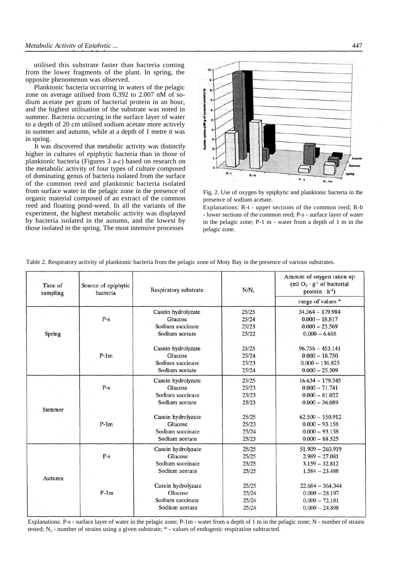utilised this substrate faster than bacteria coming from the lower fragments of the plant. In spring, the opposite phenomenon was observed.

Planktonic bacteria occurring in waters of the pelagic zone on average utilised from 0.392 to 2.007 nM of sodium acetate per gram of bacterial protein in an hour, and the highest utilisation of the substrate was noted in summer. Bacteria occurring in the surface layer of water to a depth of 20 cm utilised sodium acetate more actively in summer and autumn, while at a depth of 1 metre it was in spring.

It was discovered that metabolic activity was distinctly higher in cultures of epiphytic bacteria than in those of planktonic bacteria (Figures 3 a-c) based on research on the metabolic activity of four types of culture composed of dominating genus of bacteria isolated from the surface of the common reed and planktonic bacteria isolated from surface water in the pelagic zone in the presence of organic material composed of an extract of the common reed and floating pond-weed. In all the variants of the experiment, the highest metabolic activity was displayed by bacteria isolated in the autumn, and the lowest by those isolated in the spring. The most intensive processes



Fig. 2. Use of oxygen by epiphytic and planktonic bacteria in the presence of sodium acetate.

Explanations: R-t - upper sections of the common reed; R-b - lower sections of the common reed; P-s - surface layer of water in the pelagic zone; P-1 m - water from a depth of 1 m in the pelagic zone.

| Time of<br>sampling | Source of epiphytic<br>bacteria | Respiratory substrate | $N/N_s$ | Amount of oxygen taken up<br>(ml $O_2 \cdot g^{-1}$ of bacterial<br>protein $\cdot$ h <sup>-1</sup> ) |
|---------------------|---------------------------------|-----------------------|---------|-------------------------------------------------------------------------------------------------------|
|                     |                                 |                       |         | range of values *                                                                                     |
|                     |                                 | Casein hydrolyzate    | 25/25   | $34.364 - 179.984$                                                                                    |
|                     | $P-S$                           | Glucose               | 25/24   | $0.000 - 18.817$                                                                                      |
|                     |                                 | Sodium succinate      | 25/23   | $0.000 - 23.569$                                                                                      |
| <b>Spring</b>       |                                 | Sodium acetate        | 25/22   | $0.000 - 6.616$                                                                                       |
|                     |                                 | Casein hydrolyzate    | 25/25   | $96.756 - 453.141$                                                                                    |
|                     | $P-1m$                          | Glucose               | 25/24   | $0.000 - 18.750$                                                                                      |
|                     |                                 | Sodium succinate      | 25/23   | $0.000 - 136.825$                                                                                     |
|                     |                                 | Sodium acetate        | 25/24   | $0.000 - 25.309$                                                                                      |
|                     |                                 | Casein hydrolyzate    | 25/25   | $16.634 - 179.345$                                                                                    |
|                     | $P-S$                           | Glucose               | 25/23   | $0.000 - 71.741$                                                                                      |
|                     |                                 | Sodium succinate      | 25/23   | $0.000 - 81.022$                                                                                      |
|                     |                                 | Sodium acetate        | 25/23   | $0.000 - 36.089$                                                                                      |
| Summer              |                                 | Casein hydrolyzate    | 25/25   | $62.500 - 150.912$                                                                                    |
|                     | $P-1m$                          | Glucose               | 25/23   | $0.000 - 93.158$                                                                                      |
|                     |                                 | Sodium succinate      | 25/24   | $0.000 - 93.158$                                                                                      |
|                     |                                 | Sodium acetate        | 25/23   | $0.000 - 88.525$                                                                                      |
|                     |                                 | Casein hydrolyzate    | 25/25   | $51.909 - 260.919$                                                                                    |
|                     | $P-S$                           | Glucose               | 25/25   | $2.989 - 27.081$                                                                                      |
|                     |                                 | Sodium succinate      | 25/25   | $3.159 - 32.812$                                                                                      |
|                     |                                 | Sodium acetate        | 25/25   | $1.584 - 23.488$                                                                                      |
| Autumn              |                                 | Casein hydrolyzate    | 25/25   | $22.684 - 364.344$                                                                                    |
|                     | $P-1m$                          | Glucose               | 25/24   | $0.000 - 28.197$                                                                                      |
|                     |                                 | Sodium succinate      | 25/24   | $0.000 - 72.181$                                                                                      |
|                     |                                 | Sodium acetate        | 25/24   | $0.000 - 24.898$                                                                                      |

Table 2. Respiratory activity of planktonic bacteria from the pelagic zone of Moty Bay in the presence of various substrates.

Explanations: P-s - surface layer of water in the pelagic zone; P-1m - water from a depth of 1 m in the pelagic zone; N - number of strains tested; Ns - number of strains using a given substrate; \* - values of endogenic respiration subtracted.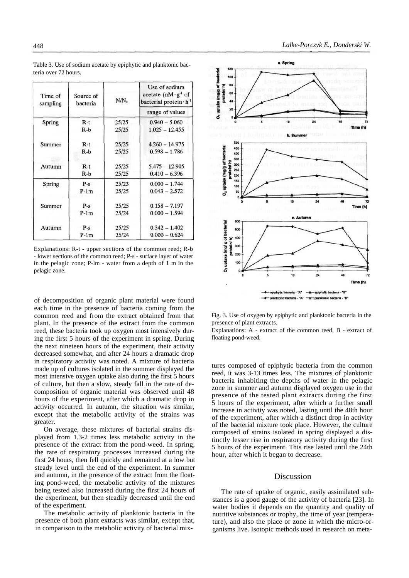| Time of<br>sampling | Source of<br>bacteria | N/N   | Use of sodium<br>acetate $(nM \cdot g^{-1})$ of<br>bacterial protein $\cdot$ h <sup>-1</sup><br>range of values |  |
|---------------------|-----------------------|-------|-----------------------------------------------------------------------------------------------------------------|--|
|                     |                       |       |                                                                                                                 |  |
| Spring              | $R-t$                 | 25/25 | $0.940 - 5.060$                                                                                                 |  |
|                     | $R-b$                 | 25/25 | $1.025 - 12.455$                                                                                                |  |
| Summer              | $R-t$                 | 25/25 | $4.260 - 14.975$                                                                                                |  |
|                     | $R-b$                 | 25/25 | $0.598 - 1.786$                                                                                                 |  |
| Autumn              | $R-t$                 | 25/25 | $5.475 - 12.905$                                                                                                |  |
|                     | $R-b$                 | 25/25 | $0.410 - 6.396$                                                                                                 |  |
| Spring              | $P-S$                 | 25/23 | $0.000 - 1.744$                                                                                                 |  |
|                     | $P-1m$                | 25/25 | $0.043 - 2.572$                                                                                                 |  |
| Summer              | $P-S$                 | 25/25 | $0.158 - 7.197$                                                                                                 |  |
|                     | $P-1m$                | 25/24 | $0.000 - 1.594$                                                                                                 |  |
| Autumn              | $P-S$                 | 25/25 | $0.342 - 1.402$                                                                                                 |  |
|                     | $P-1m$                | 25/24 | $0.000 - 0.624$                                                                                                 |  |

Table 3. Use of sodium acetate by epiphytic and planktonic bacteria over 72 hours.

Explanations: R-t - upper sections of the common reed; R-b - lower sections of the common reed; P-s - surface layer of water in the pelagic zone; P-lm - water from a depth of 1 m in the pelagic zone.

of decomposition of organic plant material were found each time in the presence of bacteria coming from the common reed and from the extract obtained from that plant. In the presence of the extract from the common reed, these bacteria took up oxygen most intensively during the first 5 hours of the experiment in spring. During the next nineteen hours of the experiment, their activity decreased somewhat, and after 24 hours a dramatic drop in respiratory activity was noted. A mixture of bacteria made up of cultures isolated in the summer displayed the most intensive oxygen uptake also during the first 5 hours of culture, but then a slow, steady fall in the rate of decomposition of organic material was observed until 48 hours of the experiment, after which a dramatic drop in activity occurred. In autumn, the situation was similar, except that the metabolic activity of the strains was greater.

On average, these mixtures of bacterial strains displayed from 1.3-2 times less metabolic activity in the presence of the extract from the pond-weed. In spring, the rate of respiratory processes increased during the first 24 hours, then fell quickly and remained at a low but steady level until the end of the experiment. In summer and autumn, in the presence of the extract from the floating pond-weed, the metabolic activity of the mixtures being tested also increased during the first 24 hours of the experiment, but then steadily decreased until the end of the experiment.

The metabolic activity of planktonic bacteria in the presence of both plant extracts was similar, except that, in comparison to the metabolic activity of bacterial mix-



Fig. 3. Use of oxygen by epiphytic and planktonic bacteria in the presence of plant extracts.

Explanations: A - extract of the common reed, B - extract of floating pond-weed.

tures composed of epiphytic bacteria from the common reed, it was 3-13 times less. The mixtures of planktonic bacteria inhabiting the depths of water in the pelagic zone in summer and autumn displayed oxygen use in the presence of the tested plant extracts during the first 5 hours of the experiment, after which a further small increase in activity was noted, lasting until the 48th hour of the experiment, after which a distinct drop in activity of the bacterial mixture took place. However, the culture composed of strains isolated in spring displayed a distinctly lesser rise in respiratory activity during the first 5 hours of the experiment. This rise lasted until the 24th hour, after which it began to decrease.

# Discussion

The rate of uptake of organic, easily assimilated substances is a good gauge of the activity of bacteria [23]. In water bodies it depends on the quantity and quality of nutritive substances or trophy, the time of year (temperature), and also the place or zone in which the micro-organisms live. Isotopic methods used in research on meta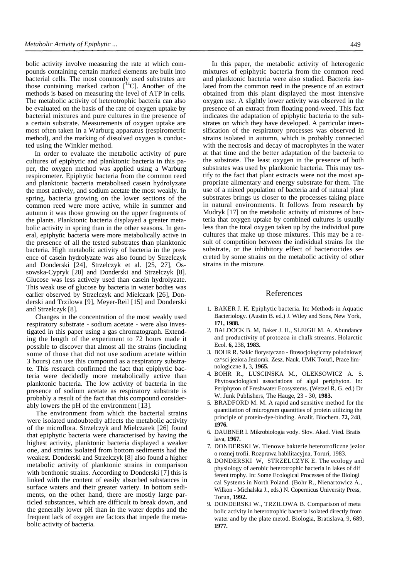bolic activity involve measuring the rate at which compounds containing certain marked elements are built into bacterial cells. The most commonly used substrates are those containing marked carbon  $\left[ {}^{14}C \right]$ . Another of the methods is based on measuring the level of ATP in cells. The metabolic activity of heterotrophic bacteria can also be evaluated on the basis of the rate of oxygen uptake by bacterial mixtures and pure cultures in the presence of a certain substrate. Measurements of oxygen uptake are most often taken in a Warburg apparatus (respirometric method), and the marking of dissolved oxygen is conducted using the Winkler method.

In order to evaluate the metabolic activity of pure cultures of epiphytic and planktonic bacteria in this paper, the oxygen method was applied using a Warburg respirometer. Epiphytic bacteria from the common reed and planktonic bacteria metabolised casein hydrolyzate the most actively, and sodium acetate the most weakly. In spring, bacteria growing on the lower sections of the common reed were more active, while in summer and autumn it was those growing on the upper fragments of the plants. Planktonic bacteria displayed a greater metabolic activity in spring than in the other seasons. In general, epiphytic bacteria were more metabolically active in the presence of all the tested substrates than planktonic bacteria. High metabolic activity of bacteria in the presence of casein hydrolyzate was also found by Strzelczyk and Donderski [24], Strzelczyk et al. [25, 27], Ossowska-Cypryk [20] and Donderski and Strzelczyk [8]. Glucose was less actively used than casein hydrolyzate. This weak use of glucose by bacteria in water bodies was earlier observed by Strzelczyk and Mielczark [26], Donderski and Trzilowa [9], Meyer-Reil [15] and Donderski and Strzelczyk [8].

Changes in the concentration of the most weakly used respiratory substrate - sodium acetate - were also investigated in this paper using a gas chromatograph. Extending the length of the experiment to 72 hours made it possible to discover that almost all the strains (including some of those that did not use sodium acetate within 3 hours) can use this compound as a respiratory substrate. This research confirmed the fact that epiphytic bacteria were decidedly more metabolically active than planktonic bacteria. The low activity of bacteria in the presence of sodium acetate as respiratory substrate is probably a result of the fact that this compound considerably lowers the pH of the environment [13].

The environment from which the bacterial strains were isolated undoubtedly affects the metabolic activity of the microflora. Strzelczyk and Mielczarek [26] found that epiphytic bacteria were characterised by having the highest activity, planktonic bacteria displayed a weaker one, and strains isolated from bottom sediments had the weakest. Donderski and Strzelczyk [8] also found a higher metabolic activity of planktonic strains in comparison with benthonic strains. According to Donderski [7] this is linked with the content of easily absorbed substances in surface waters and their greater variety. In bottom sediments, on the other hand, there are mostly large particled substances, which are difficult to break down, and the generally lower pH than in the water depths and the frequent lack of oxygen are factors that impede the metabolic activity of bacteria.

In this paper, the metabolic activity of heterogenic mixtures of epiphytic bacteria from the common reed and planktonic bacteria were also studied. Bacteria isolated from the common reed in the presence of an extract obtained from this plant displayed the most intensive oxygen use. A slightly lower activity was observed in the presence of an extract from floating pond-weed. This fact indicates the adaptation of epiphytic bacteria to the substrates on which they have developed. A particular intensification of the respiratory processes was observed in strains isolated in autumn, which is probably connected with the necrosis and decay of macrophytes in the water at that time and the better adaptation of the bacteria to the substrate. The least oxygen in the presence of both substrates was used by planktonic bacteria. This may testify to the fact that plant extracts were not the most appropriate alimentary and energy substrate for them. The use of a mixed population of bacteria and of natural plant substrates brings us closer to the processes taking place in natural environments. It follows from research by Mudryk [17] on the metabolic activity of mixtures of bacteria that oxygen uptake by combined cultures is usually less than the total oxygen taken up by the individual pure cultures that make up those mixtures. This may be a result of competition between the individual strains for the substrate, or the inhibitory effect of bacteriocides secreted by some strains on the metabolic activity of other strains in the mixture.

#### References

- 1. BAKER J. H. Epiphytic bacteria. In: Methods in Aquatic Bacteriology. (Austin B. ed.) J. Wiley and Sons, New York, **171, 1988.**
- 2. BALDOCK B. M, Baker J. H., SLEIGH M. A. Abundance and productivity of protozoa in chalk streams. Holarctic Ecol. **6,** 238, **1983.**
- 3. BOHR R. Szkic florystyczno fitosocjologiczny poludniowej cz^sci jeziora Jeziorak. Zesz. Nauk. UMK Torufi, Prace limnologiczne **1,** 3, **1965.**
- 4. BOHR R., LUSCINSKA M., OLEKSOWICZ A. S. Phytosociological associations of algal periphyton. In: Periphyton of Freshwater Ecosystems. (Wetzel R. G. ed.) Dr W. Junk Publishers, The Hauge, 23 - 30, **1983.**
- 5. BRADFORD M. M. A rapid and sensitive method for the quantitation of microgram quantities of protein utilizing the principle of protein-dye-binding. Analit. Biochem. **72,** 248, **1976.**
- 6. DAUBNER I. Mikrobiologia vody. Slov. Akad. Vied. Bratis lava, **1967.**
- 7. DONDERSKI W. Tlenowe bakterie heterotroficzne jezior o roznej trofii. Rozprawa habilitacyjna, Toruri, 1983.
- 8. DONDERSKI W, STRZELCZYK E. The ecology and physiology of aerobic heterotrophic bacteria in lakes of dif ferent trophy. In: Some Ecological Processes of the Biologi cal Systems in North Poland. (Bohr R., Nienartowicz A., Wilkon - Michalska J., eds.) N. Copernicus University Press, Torun, **1992.**
- 9. DONDERSKI W., TRZILOWA B. Comparison of meta bolic activity in heterotrophic bacteria isolated directly from water and by the plate metod. Biologia, Bratislava, 9, 689, **1977.**